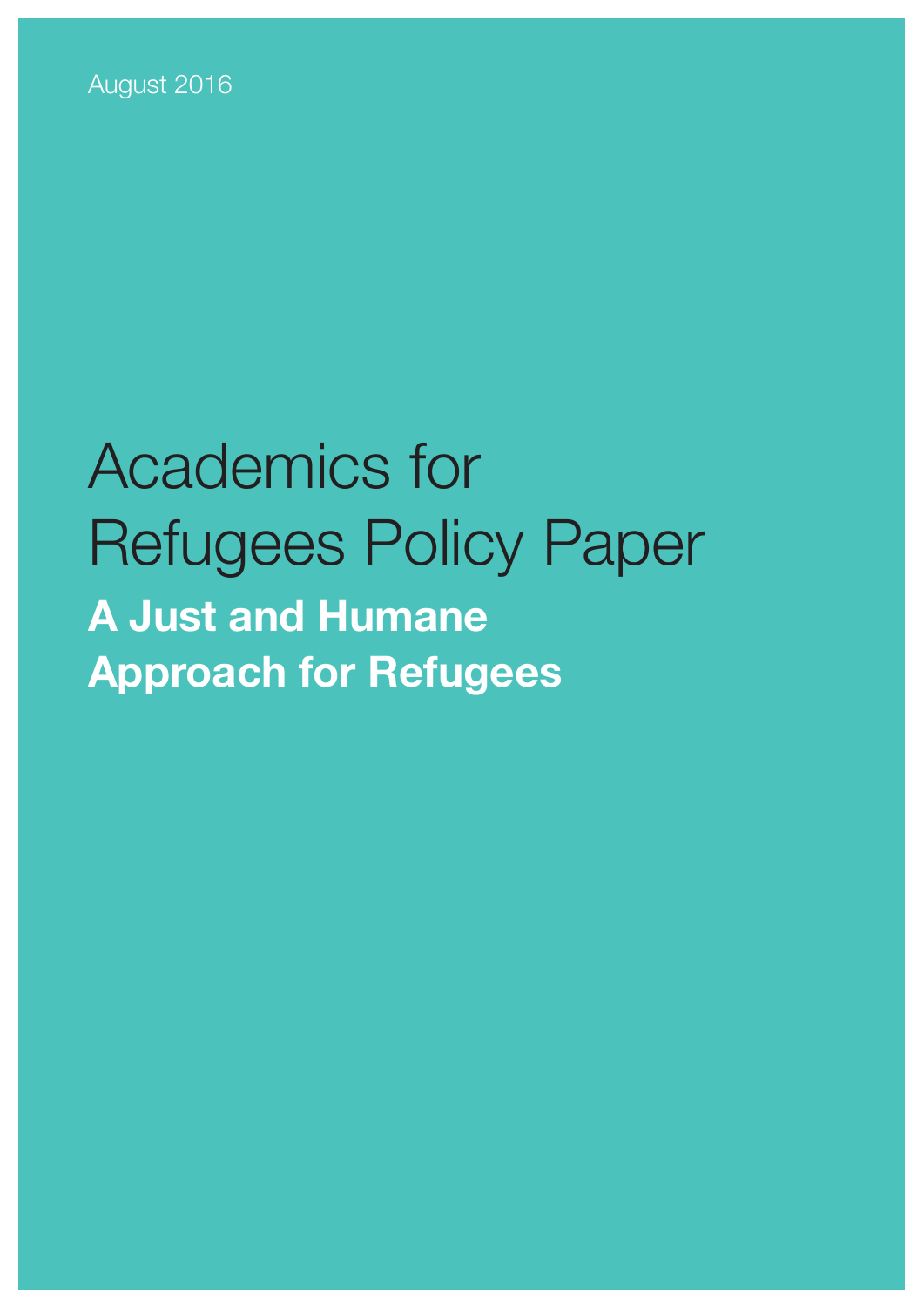

# Academics for Refugees Policy Paper **A Just and Humane Approach for Refugees**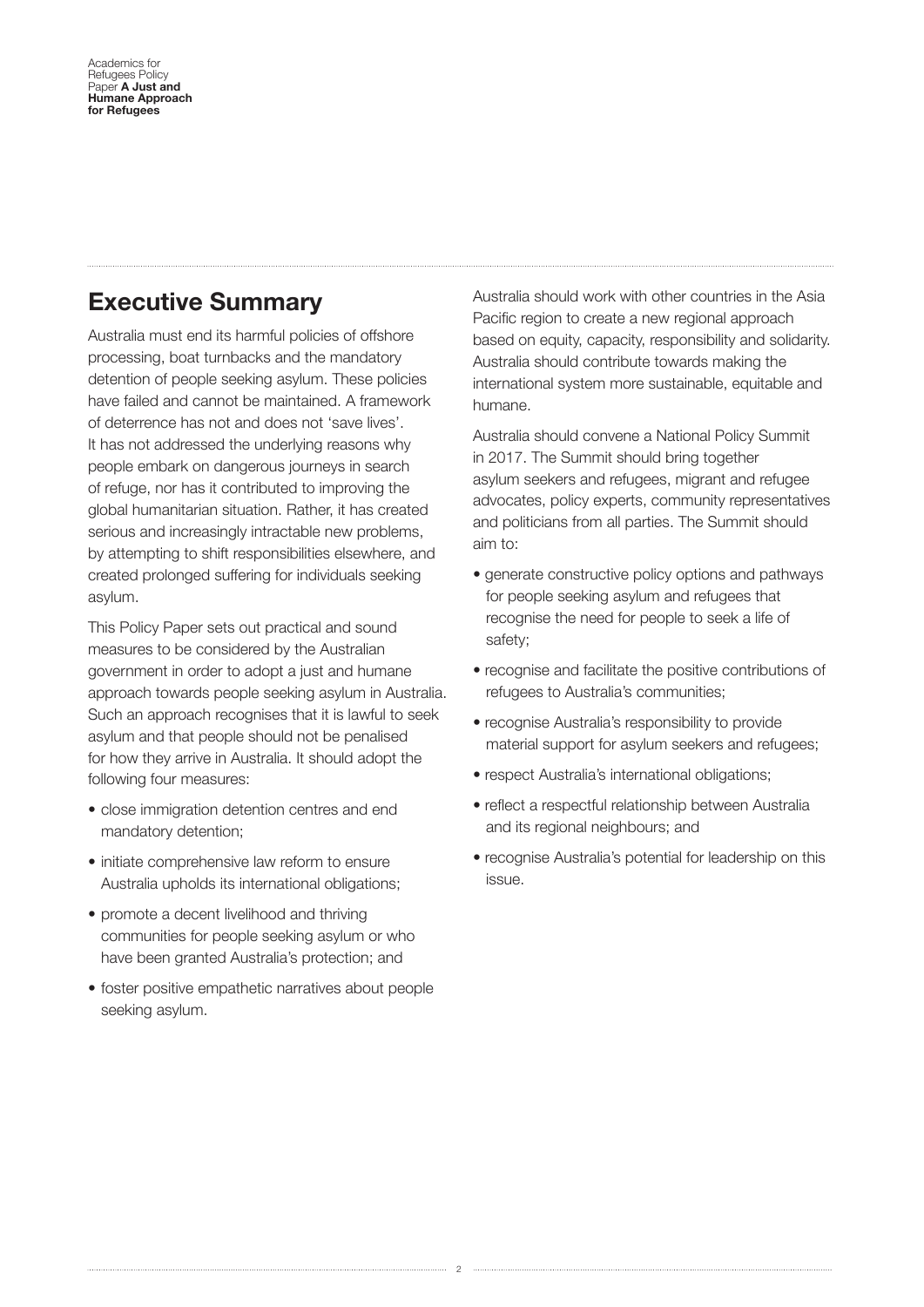### **Executive Summary**

Australia must end its harmful policies of offshore processing, boat turnbacks and the mandatory detention of people seeking asylum. These policies have failed and cannot be maintained. A framework of deterrence has not and does not 'save lives'. It has not addressed the underlying reasons why people embark on dangerous journeys in search of refuge, nor has it contributed to improving the global humanitarian situation. Rather, it has created serious and increasingly intractable new problems, by attempting to shift responsibilities elsewhere, and created prolonged suffering for individuals seeking asylum.

This Policy Paper sets out practical and sound measures to be considered by the Australian government in order to adopt a just and humane approach towards people seeking asylum in Australia. Such an approach recognises that it is lawful to seek asylum and that people should not be penalised for how they arrive in Australia. It should adopt the following four measures:

- close immigration detention centres and end mandatory detention;
- initiate comprehensive law reform to ensure Australia upholds its international obligations;
- promote a decent livelihood and thriving communities for people seeking asylum or who have been granted Australia's protection; and
- foster positive empathetic narratives about people seeking asylum.

Australia should work with other countries in the Asia Pacific region to create a new regional approach based on equity, capacity, responsibility and solidarity. Australia should contribute towards making the international system more sustainable, equitable and humane.

Australia should convene a National Policy Summit in 2017. The Summit should bring together asylum seekers and refugees, migrant and refugee advocates, policy experts, community representatives and politicians from all parties. The Summit should aim to:

- generate constructive policy options and pathways for people seeking asylum and refugees that recognise the need for people to seek a life of safety;
- recognise and facilitate the positive contributions of refugees to Australia's communities;
- recognise Australia's responsibility to provide material support for asylum seekers and refugees;
- respect Australia's international obligations;
- reflect a respectful relationship between Australia and its regional neighbours; and
- recognise Australia's potential for leadership on this issue.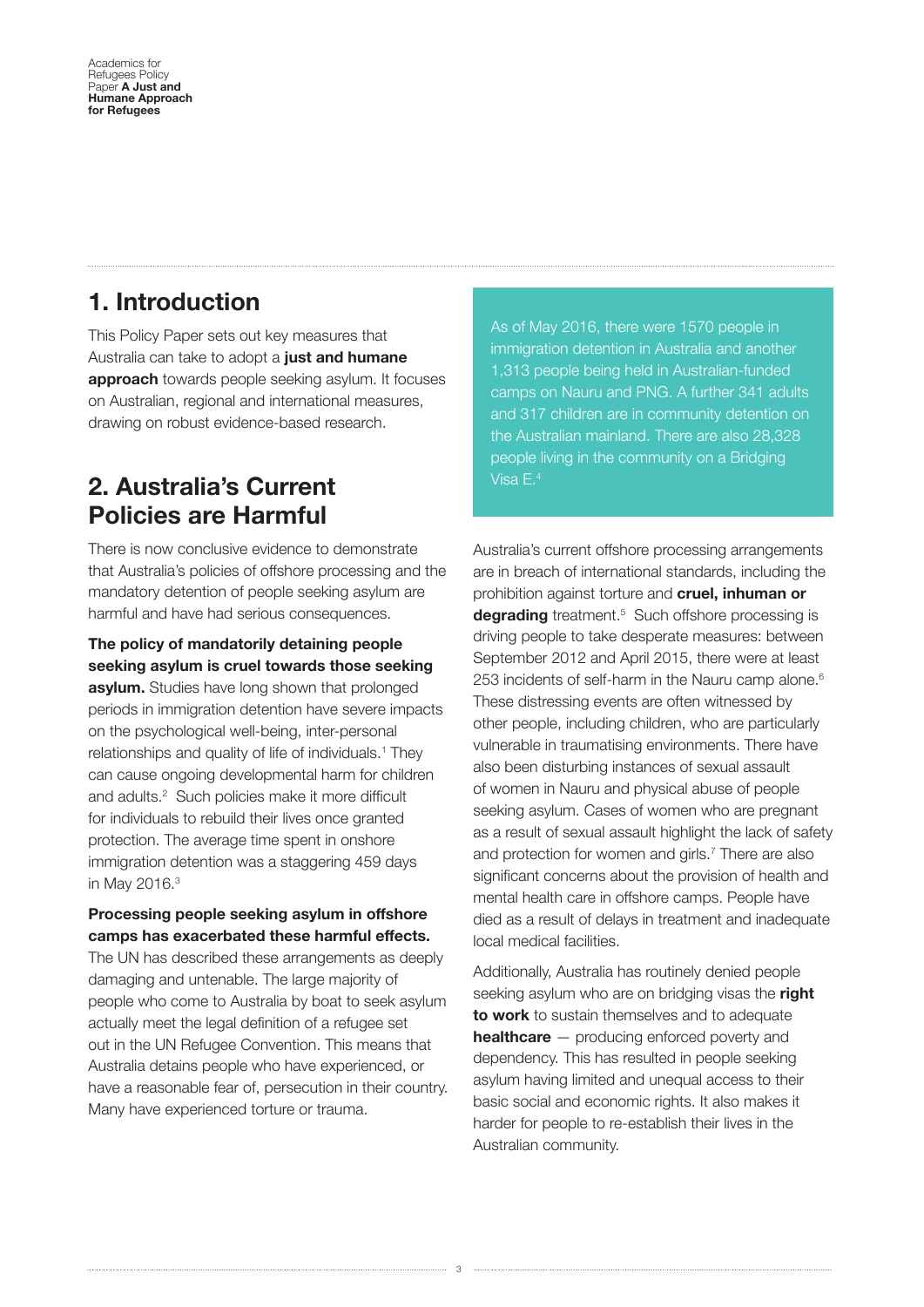### **1. Introduction**

This Policy Paper sets out key measures that Australia can take to adopt a **just and humane approach** towards people seeking asylum. It focuses on Australian, regional and international measures, drawing on robust evidence-based research.

### **2. Australia's Current Policies are Harmful**

There is now conclusive evidence to demonstrate that Australia's policies of offshore processing and the mandatory detention of people seeking asylum are harmful and have had serious consequences.

**The policy of mandatorily detaining people seeking asylum is cruel towards those seeking asylum.** Studies have long shown that prolonged periods in immigration detention have severe impacts on the psychological well-being, inter-personal relationships and quality of life of individuals.<sup>1</sup> They can cause ongoing developmental harm for children and adults.<sup>2</sup> Such policies make it more difficult for individuals to rebuild their lives once granted protection. The average time spent in onshore immigration detention was a staggering 459 days in May 2016.3

#### **Processing people seeking asylum in ofshore camps has exacerbated these harmful efects.**

The UN has described these arrangements as deeply damaging and untenable. The large majority of people who come to Australia by boat to seek asylum actually meet the legal definition of a refugee set out in the UN Refugee Convention. This means that Australia detains people who have experienced, or have a reasonable fear of, persecution in their country. Many have experienced torture or trauma.

As of May 2016, there were 1570 people in immigration detention in Australia and another 1,313 people being held in Australian-funded camps on Nauru and PNG. A further 341 adults and 317 children are in community detention on the Australian mainland. There are also 28,328 people living in the community on a Bridging Visa E.4

Australia's current offshore processing arrangements are in breach of international standards, including the prohibition against torture and **cruel, inhuman or**  degrading treatment.<sup>5</sup> Such offshore processing is driving people to take desperate measures: between September 2012 and April 2015, there were at least 253 incidents of self-harm in the Nauru camp alone.<sup>6</sup> These distressing events are often witnessed by other people, including children, who are particularly vulnerable in traumatising environments. There have also been disturbing instances of sexual assault of women in Nauru and physical abuse of people seeking asylum. Cases of women who are pregnant as a result of sexual assault highlight the lack of safety and protection for women and girls.<sup>7</sup> There are also signifcant concerns about the provision of health and mental health care in offshore camps. People have died as a result of delays in treatment and inadequate local medical facilities.

Additionally, Australia has routinely denied people seeking asylum who are on bridging visas the **right to work** to sustain themselves and to adequate **healthcare** — producing enforced poverty and dependency. This has resulted in people seeking asylum having limited and unequal access to their basic social and economic rights. It also makes it harder for people to re-establish their lives in the Australian community.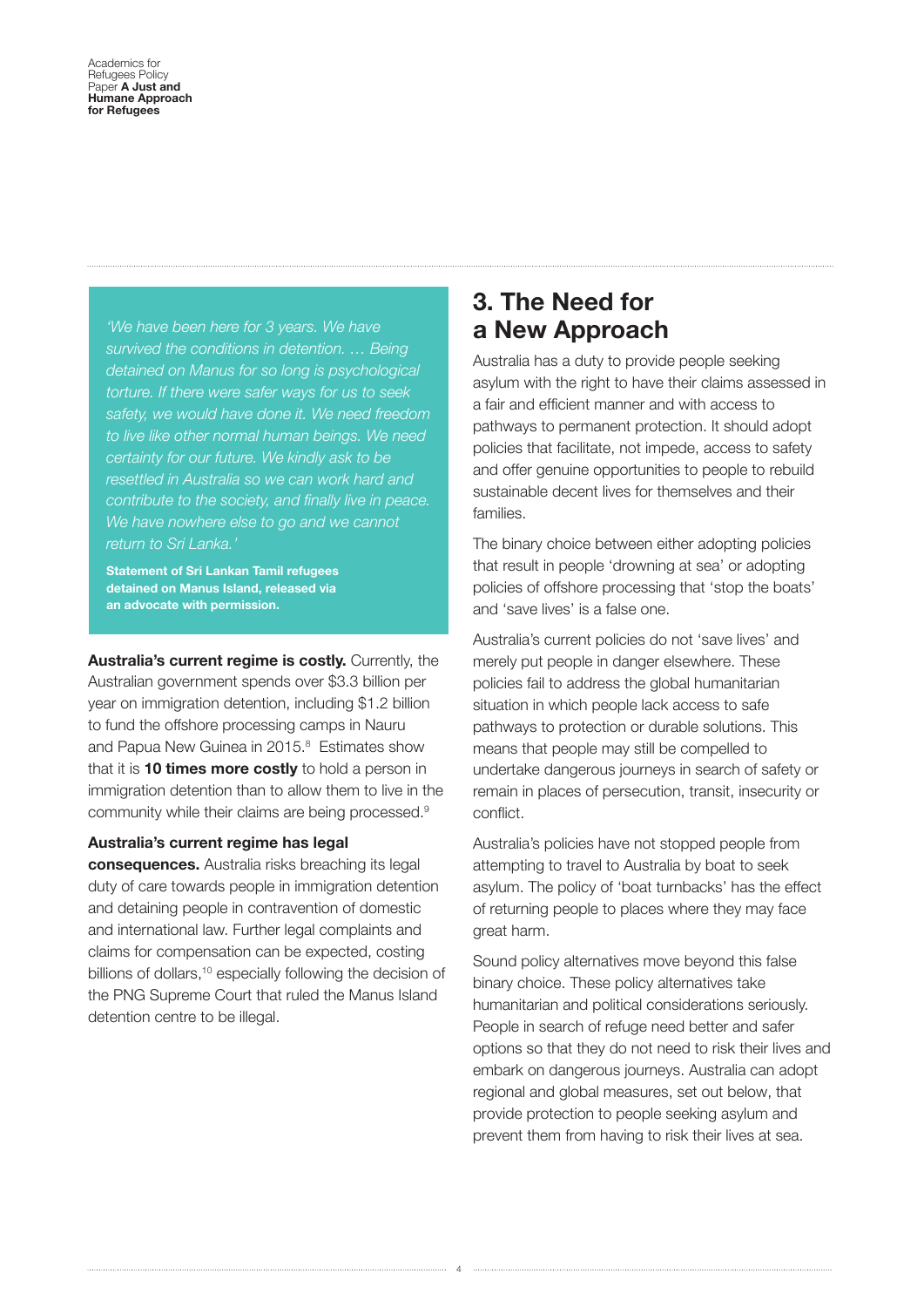*'We have been here for 3 years. We have survived the conditions in detention. … Being detained on Manus for so long is psychological torture. If there were safer ways for us to seek safety, we would have done it. We need freedom to live like other normal human beings. We need certainty for our future. We kindly ask to be resettled in Australia so we can work hard and contribute to the society, and fnally live in peace. We have nowhere else to go and we cannot return to Sri Lanka.'*

**Statement of Sri Lankan Tamil refugees detained on Manus Island, released via an advocate with permission.** 

**Australia's current regime is costly.** Currently, the Australian government spends over \$3.3 billion per year on immigration detention, including \$1.2 billion to fund the offshore processing camps in Nauru and Papua New Guinea in 2015.<sup>8</sup> Estimates show that it is **10 times more costly** to hold a person in immigration detention than to allow them to live in the community while their claims are being processed.9

#### **Australia's current regime has legal**

**consequences.** Australia risks breaching its legal duty of care towards people in immigration detention and detaining people in contravention of domestic and international law. Further legal complaints and claims for compensation can be expected, costing billions of dollars,<sup>10</sup> especially following the decision of the PNG Supreme Court that ruled the Manus Island detention centre to be illegal.

### **3. The Need for a New Approach**

Australia has a duty to provide people seeking asylum with the right to have their claims assessed in a fair and efficient manner and with access to pathways to permanent protection. It should adopt policies that facilitate, not impede, access to safety and offer genuine opportunities to people to rebuild sustainable decent lives for themselves and their families.

The binary choice between either adopting policies that result in people 'drowning at sea' or adopting policies of offshore processing that 'stop the boats' and 'save lives' is a false one.

Australia's current policies do not 'save lives' and merely put people in danger elsewhere. These policies fail to address the global humanitarian situation in which people lack access to safe pathways to protection or durable solutions. This means that people may still be compelled to undertake dangerous journeys in search of safety or remain in places of persecution, transit, insecurity or conflict. 

Australia's policies have not stopped people from attempting to travel to Australia by boat to seek asylum. The policy of 'boat turnbacks' has the effect of returning people to places where they may face great harm.

Sound policy alternatives move beyond this false binary choice. These policy alternatives take humanitarian and political considerations seriously. People in search of refuge need better and safer options so that they do not need to risk their lives and embark on dangerous journeys. Australia can adopt regional and global measures, set out below, that provide protection to people seeking asylum and prevent them from having to risk their lives at sea.

4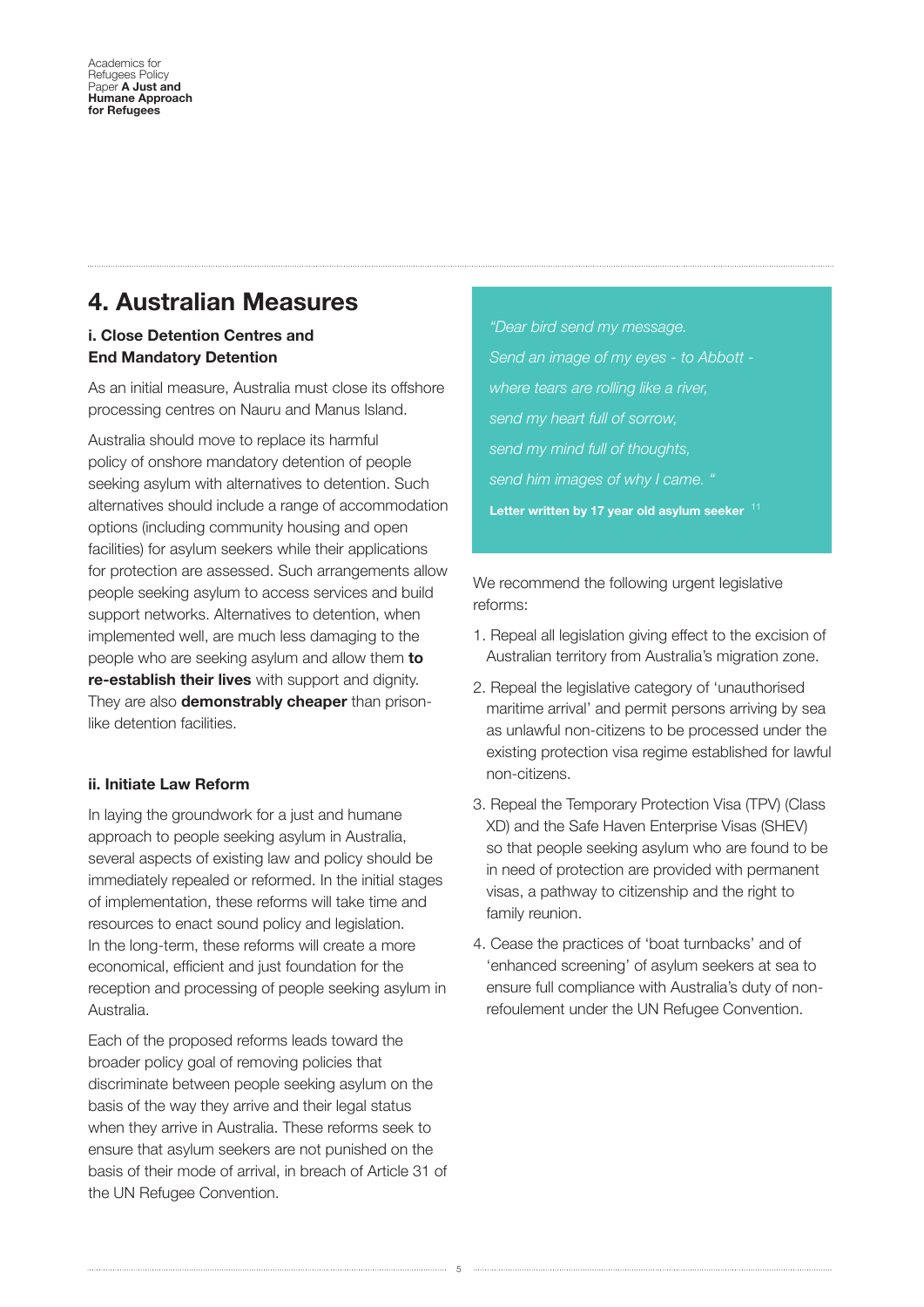### **4. Australian Measures**

#### i. Close Detention Centres and End Mandatory Detention

As an initial measure, Australia must close its offshore processing centres on Nauru and Manus Island.

Australia should move to replace its harmful policy of onshore mandatory detention of people seeking asylum with alternatives to detention. Such alternatives should include a range of accommodation options (including community housing and open facilities) for asylum seekers while their applications for protection are assessed. Such arrangements allow people seeking asylum to access services and build support networks. Alternatives to detention, when implemented well, are much less damaging to the people who are seeking asylum and allow them **to re-establish their lives** with support and dignity. They are also **demonstrably cheaper** than prisonlike detention facilities.

#### ii. Initiate Law Reform

In laying the groundwork for a just and humane approach to people seeking asylum in Australia, several aspects of existing law and policy should be immediately repealed or reformed. In the initial stages of implementation, these reforms will take time and resources to enact sound policy and legislation. In the long-term, these reforms will create a more economical, efficient and just foundation for the reception and processing of people seeking asylum in Australia.

Each of the proposed reforms leads toward the broader policy goal of removing policies that discriminate between people seeking asylum on the basis of the way they arrive and their legal status when they arrive in Australia. These reforms seek to ensure that asylum seekers are not punished on the basis of their mode of arrival, in breach of Article 31 of the UN Refugee Convention.

*"Dear bird send my message. Send an image of my eyes - to Abbott where tears are rolling like a river, send my heart full of sorrow, send my mind full of thoughts, send him images of why I came. "*  **Letter written by 17 year old asylum seeker** <sup>11</sup>

We recommend the following urgent legislative reforms:

- 1. Repeal all legislation giving effect to the excision of Australian territory from Australia's migration zone.
- 2. Repeal the legislative category of 'unauthorised maritime arrival' and permit persons arriving by sea as unlawful non-citizens to be processed under the existing protection visa regime established for lawful non-citizens.
- 3. Repeal the Temporary Protection Visa (TPV) (Class XD) and the Safe Haven Enterprise Visas (SHEV) so that people seeking asylum who are found to be in need of protection are provided with permanent visas, a pathway to citizenship and the right to family reunion.
- 4. Cease the practices of 'boat turnbacks' and of 'enhanced screening' of asylum seekers at sea to ensure full compliance with Australia's duty of nonrefoulement under the UN Refugee Convention.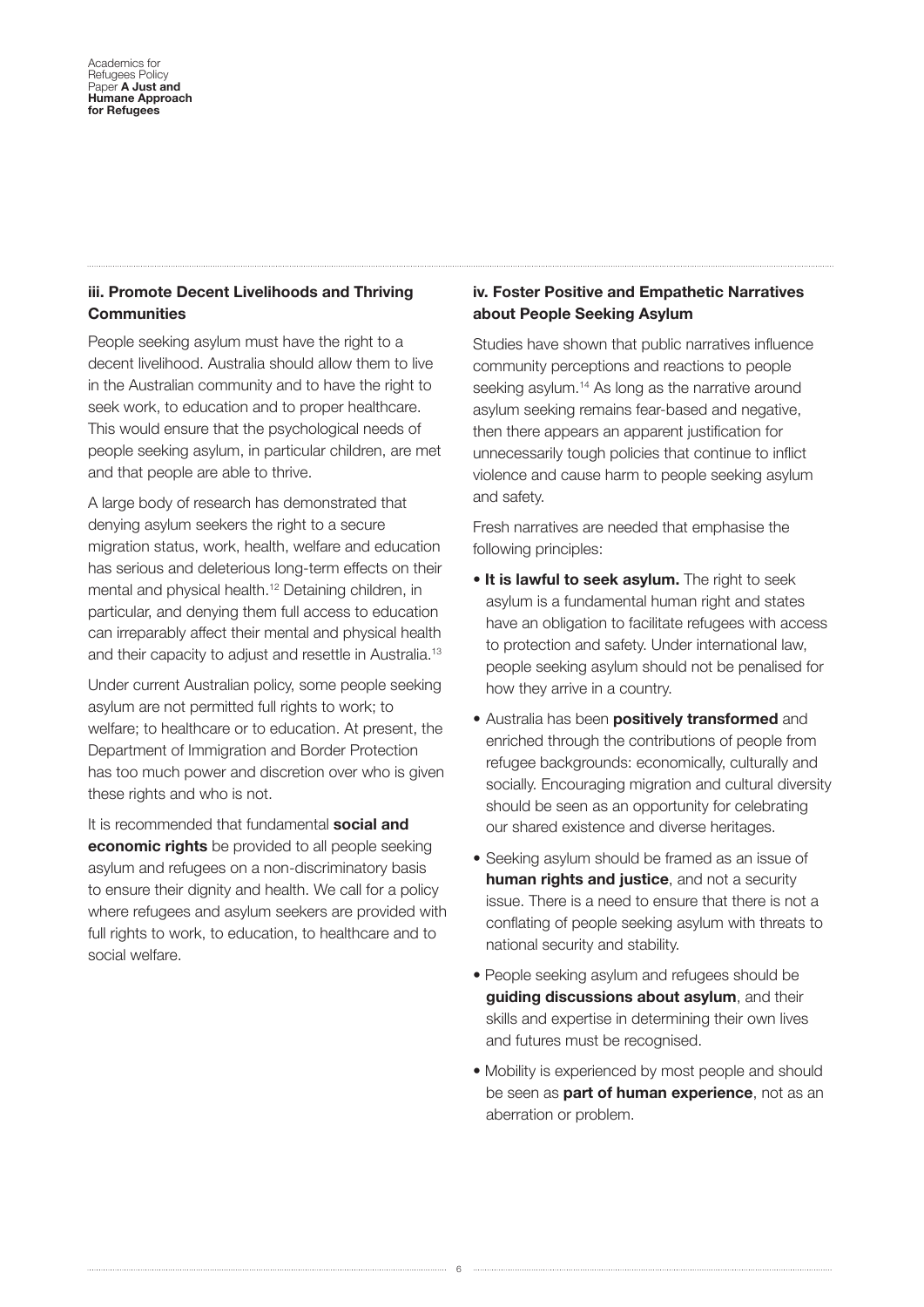#### iii. Promote Decent Livelihoods and Thriving **Communities**

People seeking asylum must have the right to a decent livelihood. Australia should allow them to live in the Australian community and to have the right to seek work, to education and to proper healthcare. This would ensure that the psychological needs of people seeking asylum, in particular children, are met and that people are able to thrive.

A large body of research has demonstrated that denying asylum seekers the right to a secure migration status, work, health, welfare and education has serious and deleterious long-term effects on their mental and physical health.12 Detaining children, in particular, and denying them full access to education can irreparably affect their mental and physical health and their capacity to adjust and resettle in Australia.13

Under current Australian policy, some people seeking asylum are not permitted full rights to work; to welfare; to healthcare or to education. At present, the Department of Immigration and Border Protection has too much power and discretion over who is given these rights and who is not.

It is recommended that fundamental **social and economic rights** be provided to all people seeking asylum and refugees on a non-discriminatory basis to ensure their dignity and health. We call for a policy where refugees and asylum seekers are provided with full rights to work, to education, to healthcare and to social welfare.

#### iv. Foster Positive and Empathetic Narratives about People Seeking Asylum

Studies have shown that public narratives infuence community perceptions and reactions to people seeking asylum.<sup>14</sup> As long as the narrative around asylum seeking remains fear-based and negative, then there appears an apparent justification for unnecessarily tough policies that continue to infict violence and cause harm to people seeking asylum and safety.

Fresh narratives are needed that emphasise the following principles:

- **It is lawful to seek asylum.** The right to seek asylum is a fundamental human right and states have an obligation to facilitate refugees with access to protection and safety. Under international law, people seeking asylum should not be penalised for how they arrive in a country.
- Australia has been **positively transformed** and enriched through the contributions of people from refugee backgrounds: economically, culturally and socially. Encouraging migration and cultural diversity should be seen as an opportunity for celebrating our shared existence and diverse heritages.
- Seeking asylum should be framed as an issue of **human rights and justice**, and not a security issue. There is a need to ensure that there is not a confating of people seeking asylum with threats to national security and stability.
- People seeking asylum and refugees should be **guiding discussions about asylum**, and their skills and expertise in determining their own lives and futures must be recognised.
- Mobility is experienced by most people and should be seen as **part of human experience**, not as an aberration or problem.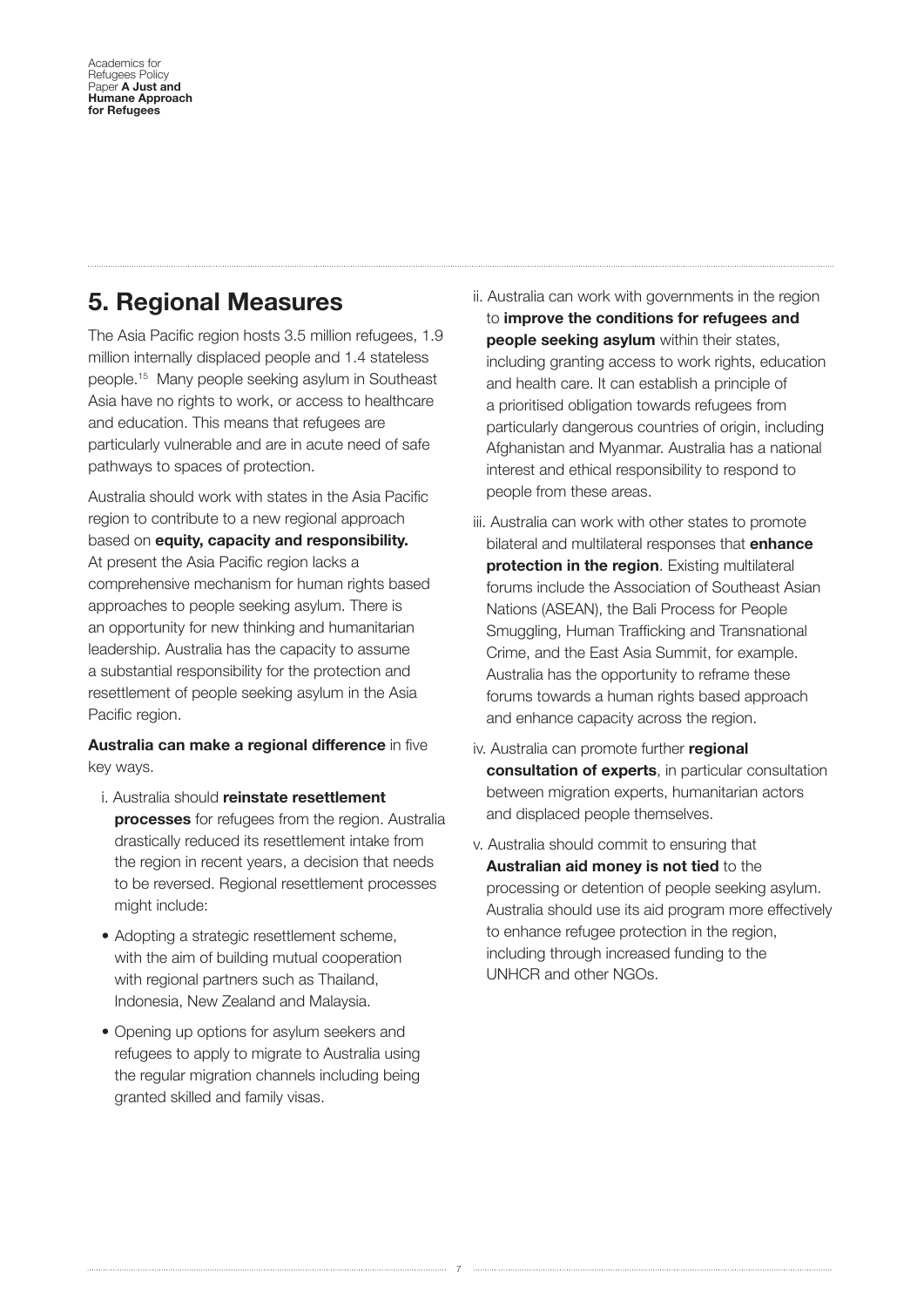### **5. Regional Measures**

The Asia Pacific region hosts 3.5 million refugees, 1.9 million internally displaced people and 1.4 stateless people.15 Many people seeking asylum in Southeast Asia have no rights to work, or access to healthcare and education. This means that refugees are particularly vulnerable and are in acute need of safe pathways to spaces of protection.

Australia should work with states in the Asia Pacifc region to contribute to a new regional approach based on **equity, capacity and responsibility.** At present the Asia Pacific region lacks a comprehensive mechanism for human rights based approaches to people seeking asylum. There is an opportunity for new thinking and humanitarian leadership. Australia has the capacity to assume a substantial responsibility for the protection and resettlement of people seeking asylum in the Asia Pacific region.

**Australia can make a regional difference** in five key ways.

- i. Australia should **reinstate resettlement processes** for refugees from the region. Australia drastically reduced its resettlement intake from the region in recent years, a decision that needs to be reversed. Regional resettlement processes might include:
- Adopting a strategic resettlement scheme, with the aim of building mutual cooperation with regional partners such as Thailand, Indonesia, New Zealand and Malaysia.
- Opening up options for asylum seekers and refugees to apply to migrate to Australia using the regular migration channels including being granted skilled and family visas.
- ii. Australia can work with governments in the region to **improve the conditions for refugees and people seeking asylum** within their states, including granting access to work rights, education and health care. It can establish a principle of a prioritised obligation towards refugees from particularly dangerous countries of origin, including Afghanistan and Myanmar. Australia has a national interest and ethical responsibility to respond to people from these areas.
- iii. Australia can work with other states to promote bilateral and multilateral responses that **enhance protection in the region.** Existing multilateral forums include the Association of Southeast Asian Nations (ASEAN), the Bali Process for People Smuggling, Human Trafficking and Transnational Crime, and the East Asia Summit, for example. Australia has the opportunity to reframe these forums towards a human rights based approach and enhance capacity across the region.
- iv. Australia can promote further **regional consultation of experts**, in particular consultation between migration experts, humanitarian actors and displaced people themselves.
- v. Australia should commit to ensuring that **Australian aid money is not tied** to the processing or detention of people seeking asylum. Australia should use its aid program more effectively to enhance refugee protection in the region, including through increased funding to the UNHCR and other NGOs.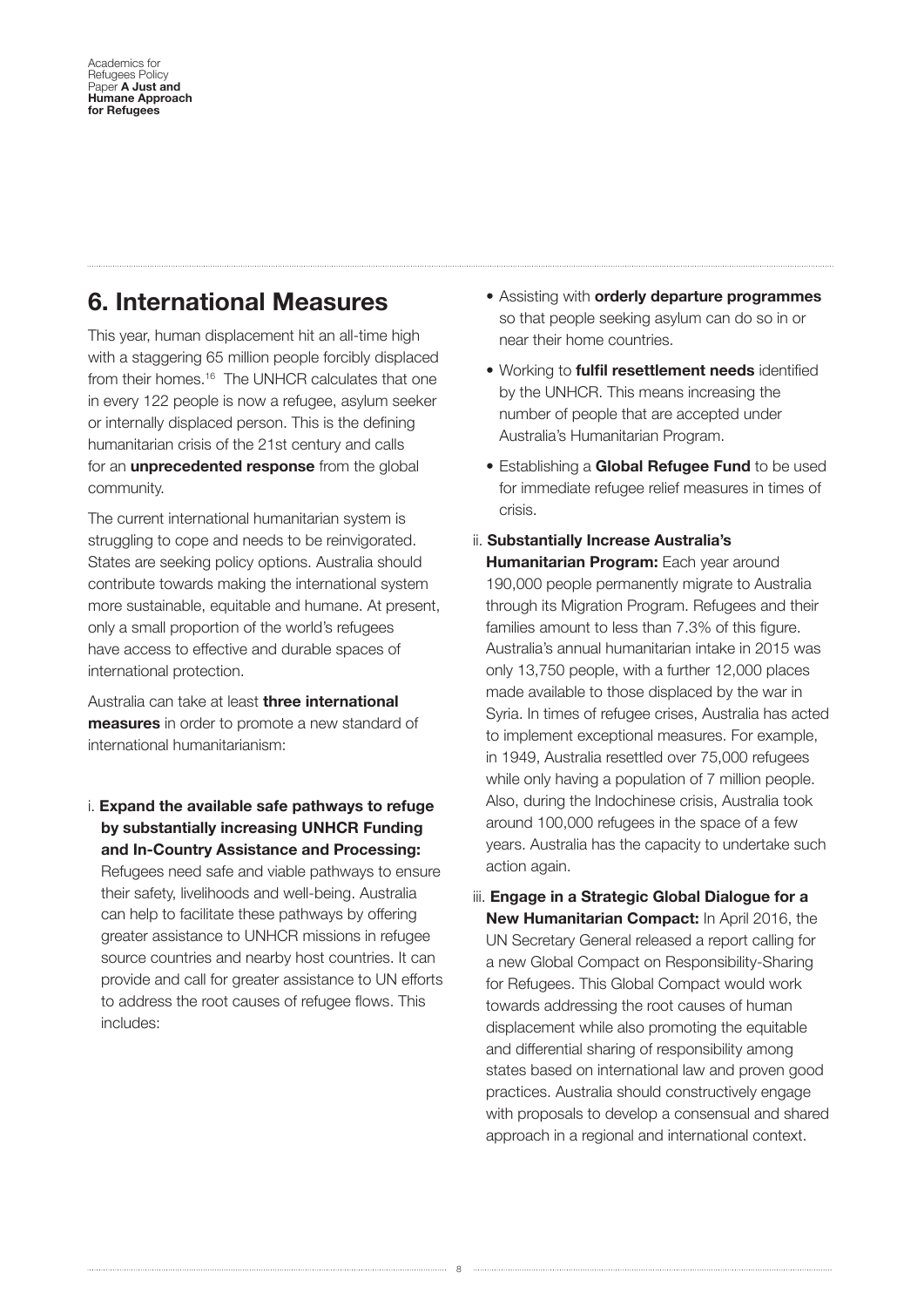### **6. International Measures**

This year, human displacement hit an all-time high with a staggering 65 million people forcibly displaced from their homes.<sup>16</sup> The UNHCR calculates that one in every 122 people is now a refugee, asylum seeker or internally displaced person. This is the defning humanitarian crisis of the 21st century and calls for an **unprecedented response** from the global community.

The current international humanitarian system is struggling to cope and needs to be reinvigorated. States are seeking policy options. Australia should contribute towards making the international system more sustainable, equitable and humane. At present, only a small proportion of the world's refugees have access to effective and durable spaces of international protection.

Australia can take at least **three international measures** in order to promote a new standard of international humanitarianism:

i. **Expand the available safe pathways to refuge by substantially increasing UNHCR Funding and In-Country Assistance and Processing:** Refugees need safe and viable pathways to ensure their safety, livelihoods and well-being. Australia can help to facilitate these pathways by offering greater assistance to UNHCR missions in refugee source countries and nearby host countries. It can provide and call for greater assistance to UN efforts to address the root causes of refugee fows. This includes:

- Assisting with **orderly departure programmes** so that people seeking asylum can do so in or near their home countries.
- Working to **fulfl resettlement needs** identifed by the UNHCR. This means increasing the number of people that are accepted under Australia's Humanitarian Program.
- Establishing a **Global Refugee Fund** to be used for immediate refugee relief measures in times of crisis.
- ii. **Substantially Increase Australia's**

**Humanitarian Program:** Each year around 190,000 people permanently migrate to Australia through its Migration Program. Refugees and their families amount to less than 7.3% of this figure. Australia's annual humanitarian intake in 2015 was only 13,750 people, with a further 12,000 places made available to those displaced by the war in Syria. In times of refugee crises, Australia has acted to implement exceptional measures. For example, in 1949, Australia resettled over 75,000 refugees while only having a population of 7 million people. Also, during the Indochinese crisis, Australia took around 100,000 refugees in the space of a few years. Australia has the capacity to undertake such action again.

iii. **Engage in a Strategic Global Dialogue for a New Humanitarian Compact:** In April 2016, the UN Secretary General released a report calling for a new Global Compact on Responsibility-Sharing for Refugees. This Global Compact would work towards addressing the root causes of human displacement while also promoting the equitable and differential sharing of responsibility among states based on international law and proven good practices. Australia should constructively engage with proposals to develop a consensual and shared approach in a regional and international context.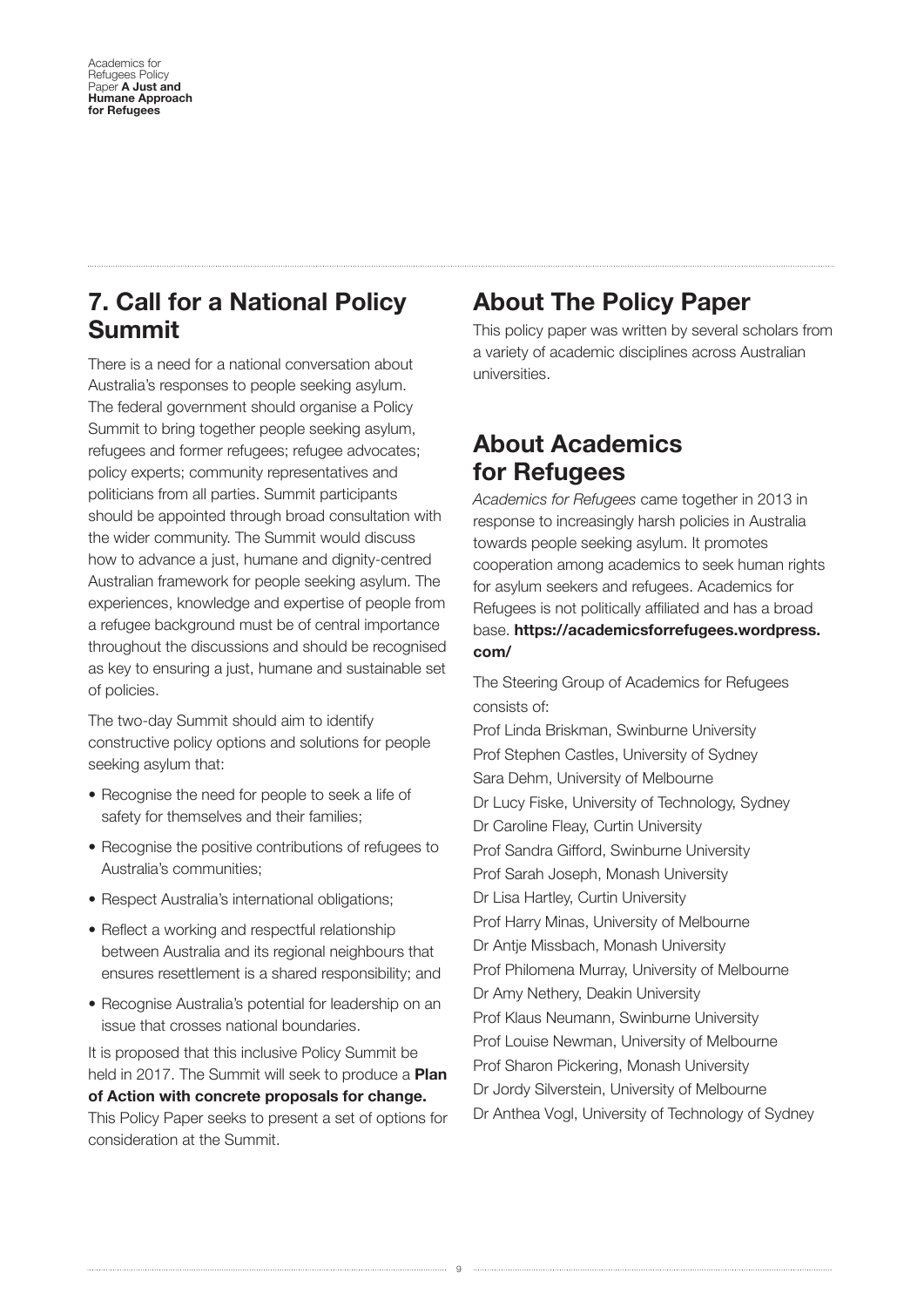### **7. Call for a National Policy Summit**

There is a need for a national conversation about Australia's responses to people seeking asylum. The federal government should organise a Policy Summit to bring together people seeking asylum, refugees and former refugees; refugee advocates; policy experts; community representatives and politicians from all parties. Summit participants should be appointed through broad consultation with the wider community. The Summit would discuss how to advance a just, humane and dignity-centred Australian framework for people seeking asylum. The experiences, knowledge and expertise of people from a refugee background must be of central importance throughout the discussions and should be recognised as key to ensuring a just, humane and sustainable set of policies.

The two-day Summit should aim to identify constructive policy options and solutions for people seeking asylum that:

- Recognise the need for people to seek a life of safety for themselves and their families;
- Recognise the positive contributions of refugees to Australia's communities;
- Respect Australia's international obligations;
- Reflect a working and respectful relationship between Australia and its regional neighbours that ensures resettlement is a shared responsibility; and
- Recognise Australia's potential for leadership on an issue that crosses national boundaries.

It is proposed that this inclusive Policy Summit be held in 2017. The Summit will seek to produce a **Plan of Action with concrete proposalZ for change.** This Policy Paper seeks to present a set of options for consideration at the Summit.

## **About The Policy Paper**

This policy paper was written by several scholars from a variety of academic disciplines across Australian universities.

### **About Academics for Refugees**

*Academics for Refugees* came together in 2013 in response to increasingly harsh policies in Australia towards people seeking asylum. It promotes cooperation among academics to seek human rights for asylum seekers and refugees. Academics for Refugees is not politically affiliated and has a broad base. **https://academicsforrefugees.wordpress. com/** 

The Steering Group of Academics for Refugees consists of:

Prof Linda Briskman, Swinburne University Prof Stephen Castles, University of Sydney Sara Dehm, University of Melbourne Dr Lucy Fiske, University of Technology, Sydney Dr Caroline Fleay, Curtin University Prof Sandra Gifford, Swinburne University Prof Sarah Joseph, Monash University Dr Lisa Hartley, Curtin University Prof Harry Minas, University of Melbourne Dr Antie Missbach, Monash University Prof Philomena Murray, University of Melbourne Dr Amy Nethery, Deakin University Prof Klaus Neumann, Swinburne University Prof Louise Newman, University of Melbourne Prof Sharon Pickering, Monash University Dr Jordy Silverstein, University of Melbourne Dr Anthea Vogl, University of Technology of Sydney